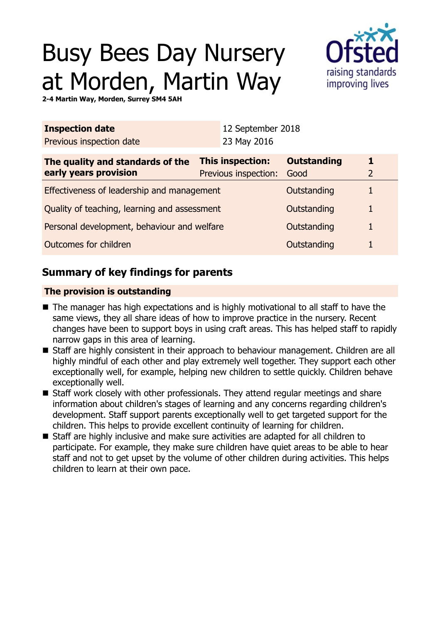# Busy Bees Day Nursery at Morden, Martin Way



**2-4 Martin Way, Morden, Surrey SM4 5AH**

|                                              | 23 May 2016 |                                          |                                  |  |
|----------------------------------------------|-------------|------------------------------------------|----------------------------------|--|
|                                              |             | <b>Outstanding</b><br>Good               |                                  |  |
| Effectiveness of leadership and management   |             |                                          |                                  |  |
| Quality of teaching, learning and assessment |             | Outstanding                              | 1                                |  |
| Personal development, behaviour and welfare  |             | Outstanding                              |                                  |  |
| Outcomes for children                        |             | Outstanding                              |                                  |  |
|                                              |             | This inspection:<br>Previous inspection: | 12 September 2018<br>Outstanding |  |

## **Summary of key findings for parents**

## **The provision is outstanding**

- $\blacksquare$  The manager has high expectations and is highly motivational to all staff to have the same views, they all share ideas of how to improve practice in the nursery. Recent changes have been to support boys in using craft areas. This has helped staff to rapidly narrow gaps in this area of learning.
- Staff are highly consistent in their approach to behaviour management. Children are all highly mindful of each other and play extremely well together. They support each other exceptionally well, for example, helping new children to settle quickly. Children behave exceptionally well.
- Staff work closely with other professionals. They attend regular meetings and share information about children's stages of learning and any concerns regarding children's development. Staff support parents exceptionally well to get targeted support for the children. This helps to provide excellent continuity of learning for children.
- Staff are highly inclusive and make sure activities are adapted for all children to participate. For example, they make sure children have quiet areas to be able to hear staff and not to get upset by the volume of other children during activities. This helps children to learn at their own pace.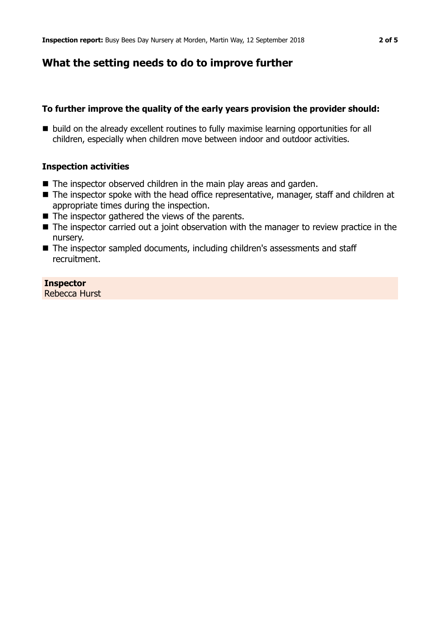## **What the setting needs to do to improve further**

## **To further improve the quality of the early years provision the provider should:**

■ build on the already excellent routines to fully maximise learning opportunities for all children, especially when children move between indoor and outdoor activities.

## **Inspection activities**

- $\blacksquare$  The inspector observed children in the main play areas and garden.
- The inspector spoke with the head office representative, manager, staff and children at appropriate times during the inspection.
- $\blacksquare$  The inspector gathered the views of the parents.
- $\blacksquare$  The inspector carried out a joint observation with the manager to review practice in the nursery.
- The inspector sampled documents, including children's assessments and staff recruitment.

#### **Inspector** Rebecca Hurst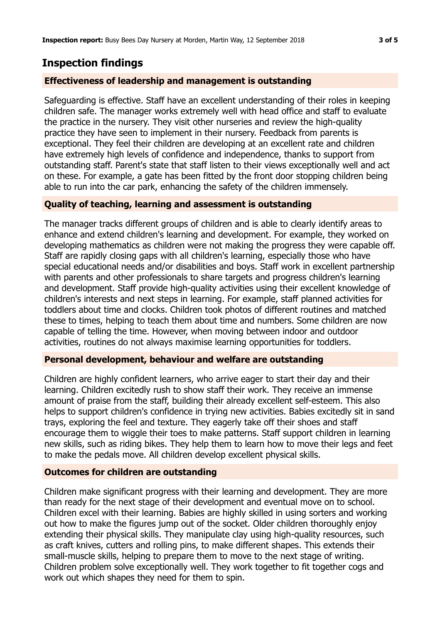## **Inspection findings**

#### **Effectiveness of leadership and management is outstanding**

Safeguarding is effective. Staff have an excellent understanding of their roles in keeping children safe. The manager works extremely well with head office and staff to evaluate the practice in the nursery. They visit other nurseries and review the high-quality practice they have seen to implement in their nursery. Feedback from parents is exceptional. They feel their children are developing at an excellent rate and children have extremely high levels of confidence and independence, thanks to support from outstanding staff. Parent's state that staff listen to their views exceptionally well and act on these. For example, a gate has been fitted by the front door stopping children being able to run into the car park, enhancing the safety of the children immensely.

## **Quality of teaching, learning and assessment is outstanding**

The manager tracks different groups of children and is able to clearly identify areas to enhance and extend children's learning and development. For example, they worked on developing mathematics as children were not making the progress they were capable off. Staff are rapidly closing gaps with all children's learning, especially those who have special educational needs and/or disabilities and boys. Staff work in excellent partnership with parents and other professionals to share targets and progress children's learning and development. Staff provide high-quality activities using their excellent knowledge of children's interests and next steps in learning. For example, staff planned activities for toddlers about time and clocks. Children took photos of different routines and matched these to times, helping to teach them about time and numbers. Some children are now capable of telling the time. However, when moving between indoor and outdoor activities, routines do not always maximise learning opportunities for toddlers.

#### **Personal development, behaviour and welfare are outstanding**

Children are highly confident learners, who arrive eager to start their day and their learning. Children excitedly rush to show staff their work. They receive an immense amount of praise from the staff, building their already excellent self-esteem. This also helps to support children's confidence in trying new activities. Babies excitedly sit in sand trays, exploring the feel and texture. They eagerly take off their shoes and staff encourage them to wiggle their toes to make patterns. Staff support children in learning new skills, such as riding bikes. They help them to learn how to move their legs and feet to make the pedals move. All children develop excellent physical skills.

#### **Outcomes for children are outstanding**

Children make significant progress with their learning and development. They are more than ready for the next stage of their development and eventual move on to school. Children excel with their learning. Babies are highly skilled in using sorters and working out how to make the figures jump out of the socket. Older children thoroughly enjoy extending their physical skills. They manipulate clay using high-quality resources, such as craft knives, cutters and rolling pins, to make different shapes. This extends their small-muscle skills, helping to prepare them to move to the next stage of writing. Children problem solve exceptionally well. They work together to fit together cogs and work out which shapes they need for them to spin.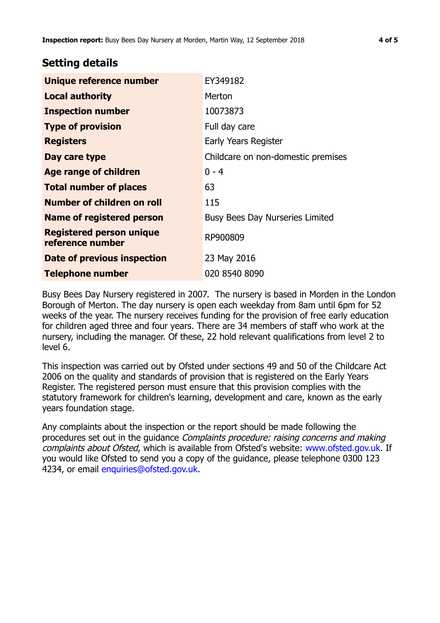## **Setting details**

| Unique reference number                             | EY349182                               |  |
|-----------------------------------------------------|----------------------------------------|--|
| <b>Local authority</b>                              | Merton                                 |  |
| <b>Inspection number</b>                            | 10073873                               |  |
| <b>Type of provision</b>                            | Full day care                          |  |
| <b>Registers</b>                                    | Early Years Register                   |  |
| Day care type                                       | Childcare on non-domestic premises     |  |
| <b>Age range of children</b>                        | $0 - 4$                                |  |
| <b>Total number of places</b>                       | 63                                     |  |
| Number of children on roll                          | 115                                    |  |
| <b>Name of registered person</b>                    | <b>Busy Bees Day Nurseries Limited</b> |  |
| <b>Registered person unique</b><br>reference number | RP900809                               |  |
| Date of previous inspection                         | 23 May 2016                            |  |
| <b>Telephone number</b>                             | 020 8540 8090                          |  |

Busy Bees Day Nursery registered in 2007. The nursery is based in Morden in the London Borough of Merton. The day nursery is open each weekday from 8am until 6pm for 52 weeks of the year. The nursery receives funding for the provision of free early education for children aged three and four years. There are 34 members of staff who work at the nursery, including the manager. Of these, 22 hold relevant qualifications from level 2 to level 6.

This inspection was carried out by Ofsted under sections 49 and 50 of the Childcare Act 2006 on the quality and standards of provision that is registered on the Early Years Register. The registered person must ensure that this provision complies with the statutory framework for children's learning, development and care, known as the early years foundation stage.

Any complaints about the inspection or the report should be made following the procedures set out in the guidance Complaints procedure: raising concerns and making complaints about Ofsted, which is available from Ofsted's website: www.ofsted.gov.uk. If you would like Ofsted to send you a copy of the guidance, please telephone 0300 123 4234, or email [enquiries@ofsted.gov.uk.](mailto:enquiries@ofsted.gov.uk)